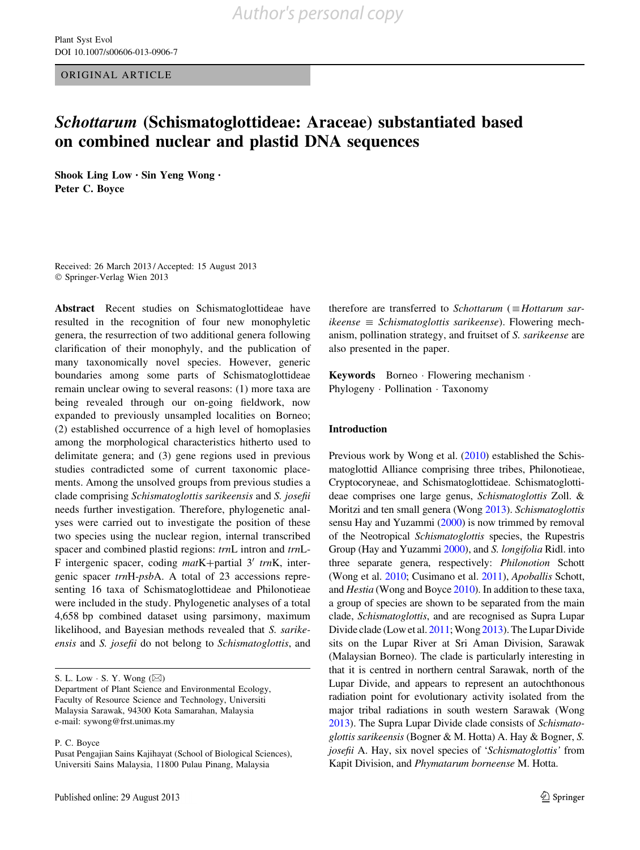<span id="page-0-0"></span>ORIGINAL ARTICLE

# Schottarum (Schismatoglottideae: Araceae) substantiated based on combined nuclear and plastid DNA sequences

Shook Ling Low • Sin Yeng Wong • Peter C. Boyce

Received: 26 March 2013 / Accepted: 15 August 2013 © Springer-Verlag Wien 2013

Abstract Recent studies on Schismatoglottideae have resulted in the recognition of four new monophyletic genera, the resurrection of two additional genera following clarification of their monophyly, and the publication of many taxonomically novel species. However, generic boundaries among some parts of Schismatoglottideae remain unclear owing to several reasons: (1) more taxa are being revealed through our on-going fieldwork, now expanded to previously unsampled localities on Borneo; (2) established occurrence of a high level of homoplasies among the morphological characteristics hitherto used to delimitate genera; and (3) gene regions used in previous studies contradicted some of current taxonomic placements. Among the unsolved groups from previous studies a clade comprising Schismatoglottis sarikeensis and S. josefii needs further investigation. Therefore, phylogenetic analyses were carried out to investigate the position of these two species using the nuclear region, internal transcribed spacer and combined plastid regions: trnL intron and trnL-F intergenic spacer, coding  $matK+partial 3'$  trnK, intergenic spacer trnH-psbA. A total of 23 accessions representing 16 taxa of Schismatoglottideae and Philonotieae were included in the study. Phylogenetic analyses of a total 4,658 bp combined dataset using parsimony, maximum likelihood, and Bayesian methods revealed that S. sarikeensis and S. josefii do not belong to Schismatoglottis, and

S. L. Low  $\cdot$  S. Y. Wong ( $\boxtimes$ )

Department of Plant Science and Environmental Ecology, Faculty of Resource Science and Technology, Universiti Malaysia Sarawak, 94300 Kota Samarahan, Malaysia e-mail: sywong@frst.unimas.my

P. C. Boyce

therefore are transferred to Schottarum  $(=Hotarum \, sar$  $ikeense \equiv Schismatoglottis \, sarikeense$ ). Flowering mechanism, pollination strategy, and fruitset of S. sarikeense are also presented in the paper.

Keywords Borneo - Flowering mechanism - Phylogeny · Pollination · Taxonomy

# Introduction

Previous work by Wong et al. (2010) established the Schismatoglottid Alliance comprising three tribes, Philonotieae, Cryptocoryneae, and Schismatoglottideae. Schismatoglottideae comprises one large genus, Schismatoglottis Zoll. & Moritzi and ten small genera (Wong [2013](#page-2-0)). Schismatoglottis sensu Hay and Yuzammi [\(2000\)](#page-4-0) is now trimmed by removal of the Neotropical Schismatoglottis species, the Rupestris Group (Hay and Yuzammi [2000\)](#page-4-0), and S. longifolia Ridl. into three separate genera, respectively: Philonotion Schott (Wong et al. 2010; Cusimano et al. [2011\)](#page-10-0), Apoballis Schott, and Hestia (Wong and Boyce [2010\)](#page-10-0). In addition to these taxa, a group of species are shown to be separated from the main clade, Schismatoglottis, and are recognised as Supra Lupar Divide clade (Low et al. 2011; Wong [2013](#page-2-0)). The Lupar Divide sits on the Lupar River at Sri Aman Division, Sarawak (Malaysian Borneo). The clade is particularly interesting in that it is centred in northern central Sarawak, north of the Lupar Divide, and appears to represent an autochthonous radiation point for evolutionary activity isolated from the major tribal radiations in south western Sarawak (Wong [2013\)](#page-2-0). The Supra Lupar Divide clade consists of Schismatoglottis sarikeensis (Bogner & M. Hotta) A. Hay & Bogner, S. josefii A. Hay, six novel species of 'Schismatoglottis' from Kapit Division, and Phymatarum borneense M. Hotta.

Pusat Pengajian Sains Kajihayat (School of Biological Sciences), Universiti Sains Malaysia, 11800 Pulau Pinang, Malaysia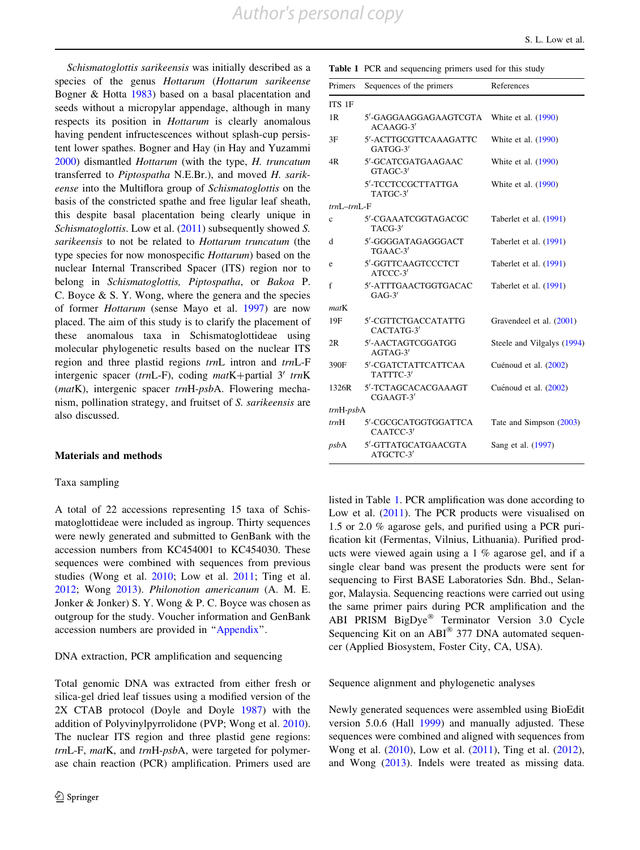Schismatoglottis sarikeensis was initially described as a species of the genus Hottarum (Hottarum sarikeense Bogner & Hotta [1983\)](#page-8-0) based on a basal placentation and seeds without a micropylar appendage, although in many respects its position in Hottarum is clearly anomalous having pendent infructescences without splash-cup persistent lower spathes. Bogner and Hay (in Hay and Yuzammi [2000\)](#page-4-0) dismantled Hottarum (with the type, H. truncatum transferred to Piptospatha N.E.Br.), and moved H. sarikeense into the Multiflora group of Schismatoglottis on the basis of the constricted spathe and free ligular leaf sheath, this despite basal placentation being clearly unique in Schismatoglottis. Low et al. [\(2011](#page-0-0)) subsequently showed S. sarikeensis to not be related to Hottarum truncatum (the type species for now monospecific Hottarum) based on the nuclear Internal Transcribed Spacer (ITS) region nor to belong in Schismatoglottis, Piptospatha, or Bakoa P. C. Boyce  $\&$  S. Y. Wong, where the genera and the species of former Hottarum (sense Mayo et al. [1997](#page-6-0)) are now placed. The aim of this study is to clarify the placement of these anomalous taxa in Schismatoglottideae using molecular phylogenetic results based on the nuclear ITS region and three plastid regions trnL intron and trnL-F intergenic spacer (trnL-F), coding matK+partial 3' trnK (matK), intergenic spacer trnH-psbA. Flowering mechanism, pollination strategy, and fruitset of S. sarikeensis are also discussed.

#### Materials and methods

# Taxa sampling

A total of 22 accessions representing 15 taxa of Schismatoglottideae were included as ingroup. Thirty sequences were newly generated and submitted to GenBank with the accession numbers from KC454001 to KC454030. These sequences were combined with sequences from previous studies (Wong et al. [2010](#page-0-0); Low et al. [2011](#page-0-0); Ting et al. [2012;](#page-8-0) Wong [2013](#page-2-0)). Philonotion americanum (A. M. E. Jonker & Jonker) S. Y. Wong & P. C. Boyce was chosen as outgroup for the study. Voucher information and GenBank accession numbers are provided in ''[Appendix'](#page-9-0)'.

#### DNA extraction, PCR amplification and sequencing

Total genomic DNA was extracted from either fresh or silica-gel dried leaf tissues using a modified version of the 2X CTAB protocol (Doyle and Doyle [1987](#page-10-0)) with the addition of Polyvinylpyrrolidone (PVP; Wong et al. [2010](#page-0-0)). The nuclear ITS region and three plastid gene regions: trnL-F, matK, and trnH-psbA, were targeted for polymerase chain reaction (PCR) amplification. Primers used are Table 1 PCR and sequencing primers used for this study

| Primers        | Sequences of the primers           | References                 |  |
|----------------|------------------------------------|----------------------------|--|
| ITS 1F         |                                    |                            |  |
| 1R             | 5'-GAGGAAGGAGAAGTCGTA<br>ACAAGG-3' | White et al. (1990)        |  |
| 3F             | 5'-ACTTGCGTTCAAAGATTC<br>GATGG-3'  | White et al. (1990)        |  |
| 4R             | 5'-GCATCGATGAAGAAC<br>GTAGC-3'     | White et al. (1990)        |  |
|                | 5'-TCCTCCGCTTATTGA<br>TATGC-3'     | White et al. (1990)        |  |
| $trnL-trnL$ -F |                                    |                            |  |
| $\mathbf c$    | 5'-CGAAATCGGTAGACGC<br>TACG-3'     | Taberlet et al. (1991)     |  |
| d              | 5'-GGGGATAGAGGGACT<br>TGAAC-3'     | Taberlet et al. (1991)     |  |
| e              | 5'-GGTTCAAGTCCCTCT<br>ATCCC-3'     | Taberlet et al. (1991)     |  |
| f              | 5'-ATTTGAACTGGTGACAC<br>$GAG-3'$   | Taberlet et al. (1991)     |  |
| matK           |                                    |                            |  |
| 19F            | 5'-CGTTCTGACCATATTG<br>CACTATG-3'  | Gravendeel et al. (2001)   |  |
| 2R             | 5'-AACTAGTCGGATGG<br>$AGTAG-3'$    | Steele and Vilgalys (1994) |  |
| 390F           | 5'-CGATCTATTCATTCAA<br>TATTTC-3'   | Cuénoud et al. (2002)      |  |
| 1326R          | 5'-TCTAGCACACGAAAGT<br>CGAAGT-3'   | Cuénoud et al. (2002)      |  |
| $trnH-psbA$    |                                    |                            |  |
| trnH           | 5'-CGCGCATGGTGGATTCA<br>CAATCC-3'  | Tate and Simpson (2003)    |  |
| psbA           | 5'-GTTATGCATGAACGTA<br>ATGCTC-3'   | Sang et al. (1997)         |  |

listed in Table 1. PCR amplification was done according to Low et al. ([2011\)](#page-0-0). The PCR products were visualised on 1.5 or 2.0 % agarose gels, and purified using a PCR purification kit (Fermentas, Vilnius, Lithuania). Purified products were viewed again using a 1 % agarose gel, and if a single clear band was present the products were sent for sequencing to First BASE Laboratories Sdn. Bhd., Selangor, Malaysia. Sequencing reactions were carried out using the same primer pairs during PCR amplification and the ABI PRISM BigDye<sup>®</sup> Terminator Version 3.0 Cycle Sequencing Kit on an  $ABI^{\circledast}$  377 DNA automated sequencer (Applied Biosystem, Foster City, CA, USA).

#### Sequence alignment and phylogenetic analyses

Newly generated sequences were assembled using BioEdit version 5.0.6 (Hall [1999](#page-10-0)) and manually adjusted. These sequences were combined and aligned with sequences from Wong et al. [\(2010](#page-0-0)), Low et al. ([2011\)](#page-0-0), Ting et al. [\(2012](#page-8-0)), and Wong [\(2013](#page-2-0)). Indels were treated as missing data.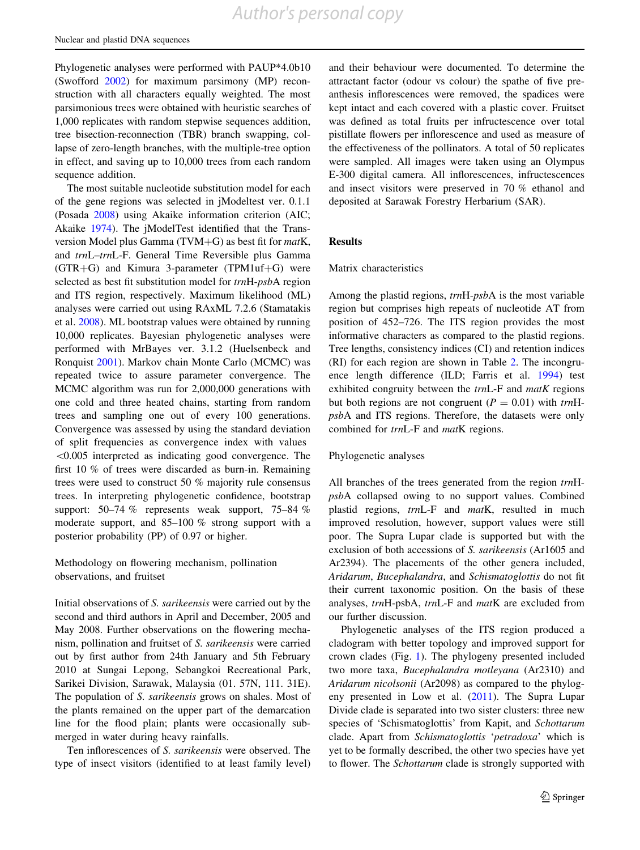<span id="page-2-0"></span>Phylogenetic analyses were performed with PAUP\*4.0b10 (Swofford [2002](#page-10-0)) for maximum parsimony (MP) reconstruction with all characters equally weighted. The most parsimonious trees were obtained with heuristic searches of 1,000 replicates with random stepwise sequences addition, tree bisection-reconnection (TBR) branch swapping, collapse of zero-length branches, with the multiple-tree option in effect, and saving up to 10,000 trees from each random sequence addition.

The most suitable nucleotide substitution model for each of the gene regions was selected in jModeltest ver. 0.1.1 (Posada [2008](#page-10-0)) using Akaike information criterion (AIC; Akaike [1974](#page-10-0)). The jModelTest identified that the Transversion Model plus Gamma (TVM $+G$ ) as best fit for matK, and trnL–trnL-F. General Time Reversible plus Gamma  $(GTR+G)$  and Kimura 3-parameter (TPM1uf+G) were selected as best fit substitution model for trnH-psbA region and ITS region, respectively. Maximum likelihood (ML) analyses were carried out using RAxML 7.2.6 (Stamatakis et al. [2008](#page-10-0)). ML bootstrap values were obtained by running 10,000 replicates. Bayesian phylogenetic analyses were performed with MrBayes ver. 3.1.2 (Huelsenbeck and Ronquist [2001](#page-10-0)). Markov chain Monte Carlo (MCMC) was repeated twice to assure parameter convergence. The MCMC algorithm was run for 2,000,000 generations with one cold and three heated chains, starting from random trees and sampling one out of every 100 generations. Convergence was assessed by using the standard deviation of split frequencies as convergence index with values  $\leq 0.005$  interpreted as indicating good convergence. The first 10 % of trees were discarded as burn-in. Remaining trees were used to construct 50 % majority rule consensus trees. In interpreting phylogenetic confidence, bootstrap support: 50–74 % represents weak support, 75–84 % moderate support, and 85–100 % strong support with a posterior probability (PP) of 0.97 or higher.

Methodology on flowering mechanism, pollination observations, and fruitset

Initial observations of S. sarikeensis were carried out by the second and third authors in April and December, 2005 and May 2008. Further observations on the flowering mechanism, pollination and fruitset of S. sarikeensis were carried out by first author from 24th January and 5th February 2010 at Sungai Lepong, Sebangkoi Recreational Park, Sarikei Division, Sarawak, Malaysia (01. 57N, 111. 31E). The population of S. sarikeensis grows on shales. Most of the plants remained on the upper part of the demarcation line for the flood plain; plants were occasionally submerged in water during heavy rainfalls.

Ten inflorescences of S. sarikeensis were observed. The type of insect visitors (identified to at least family level)

and their behaviour were documented. To determine the attractant factor (odour vs colour) the spathe of five preanthesis inflorescences were removed, the spadices were kept intact and each covered with a plastic cover. Fruitset was defined as total fruits per infructescence over total pistillate flowers per inflorescence and used as measure of the effectiveness of the pollinators. A total of 50 replicates were sampled. All images were taken using an Olympus E-300 digital camera. All inflorescences, infructescences and insect visitors were preserved in 70 % ethanol and deposited at Sarawak Forestry Herbarium (SAR).

# **Results**

#### Matrix characteristics

Among the plastid regions, trnH-psbA is the most variable region but comprises high repeats of nucleotide AT from position of 452–726. The ITS region provides the most informative characters as compared to the plastid regions. Tree lengths, consistency indices (CI) and retention indices (RI) for each region are shown in Table [2](#page-3-0). The incongruence length difference (ILD; Farris et al. [1994](#page-10-0)) test exhibited congruity between the  $trnL-F$  and  $matK$  regions but both regions are not congruent ( $P = 0.01$ ) with trnHpsbA and ITS regions. Therefore, the datasets were only combined for trnL-F and matK regions.

# Phylogenetic analyses

All branches of the trees generated from the region trnHpsbA collapsed owing to no support values. Combined plastid regions, trnL-F and matK, resulted in much improved resolution, however, support values were still poor. The Supra Lupar clade is supported but with the exclusion of both accessions of S. sarikeensis (Ar1605 and Ar2394). The placements of the other genera included, Aridarum, Bucephalandra, and Schismatoglottis do not fit their current taxonomic position. On the basis of these analyses, trnH-psbA, trnL-F and matK are excluded from our further discussion.

Phylogenetic analyses of the ITS region produced a cladogram with better topology and improved support for crown clades (Fig. [1\)](#page-3-0). The phylogeny presented included two more taxa, Bucephalandra motleyana (Ar2310) and Aridarum nicolsonii (Ar2098) as compared to the phylogeny presented in Low et al. ([2011\)](#page-0-0). The Supra Lupar Divide clade is separated into two sister clusters: three new species of 'Schismatoglottis' from Kapit, and Schottarum clade. Apart from Schismatoglottis 'petradoxa' which is yet to be formally described, the other two species have yet to flower. The Schottarum clade is strongly supported with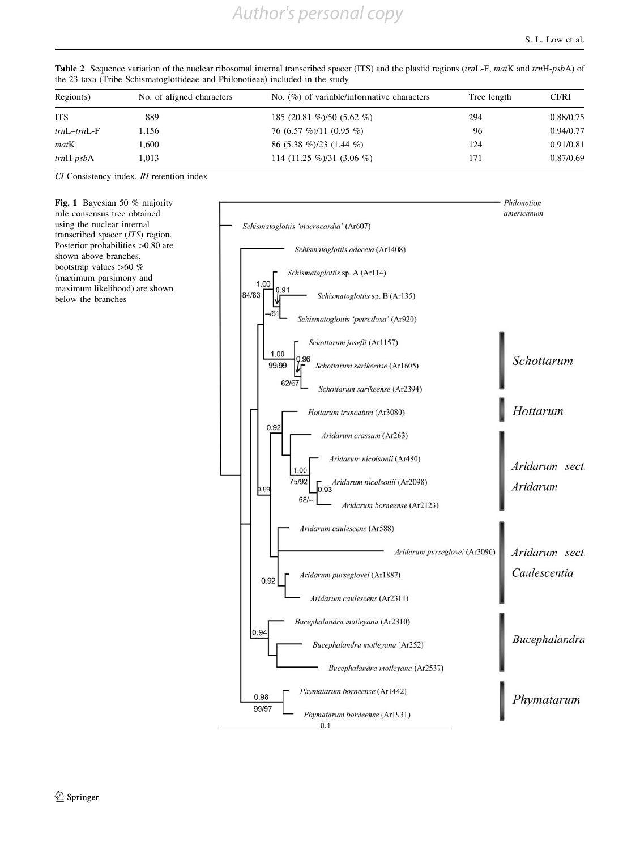|       |                           |                                               | CI/RI       |
|-------|---------------------------|-----------------------------------------------|-------------|
| 889   | 185 (20.81 %)/50 (5.62 %) | 294                                           | 0.88/0.75   |
| .156  | 76 (6.57 %)/11 (0.95 %)   | 96                                            | 0.94/0.77   |
| .600  | 86 $(5.38\%)/23(1.44\%)$  | 124                                           | 0.91/0.81   |
| 1.013 | 114 (11.25 %)/31 (3.06 %) | 171                                           | 0.87/0.69   |
|       | No. of aligned characters | No. $(\%)$ of variable/informative characters | Tree length |

<span id="page-3-0"></span>Table 2 Sequence variation of the nuclear ribosomal internal transcribed spacer (ITS) and the plastid regions (trnL-F, matK and trnH-psbA) of the 23 taxa (Tribe Schismatoglottideae and Philonotieae) included in the study

CI Consistency index, RI retention index

Fig. 1 Bayesian 50 % majority rule consensus tree obtained using the nuclear internal transcribed spacer (ITS) region. Posterior probabilities >0.80 are shown above branches, bootstrap values  $>60$  % (maximum parsimony and maximum likelihood) are shown below the branches

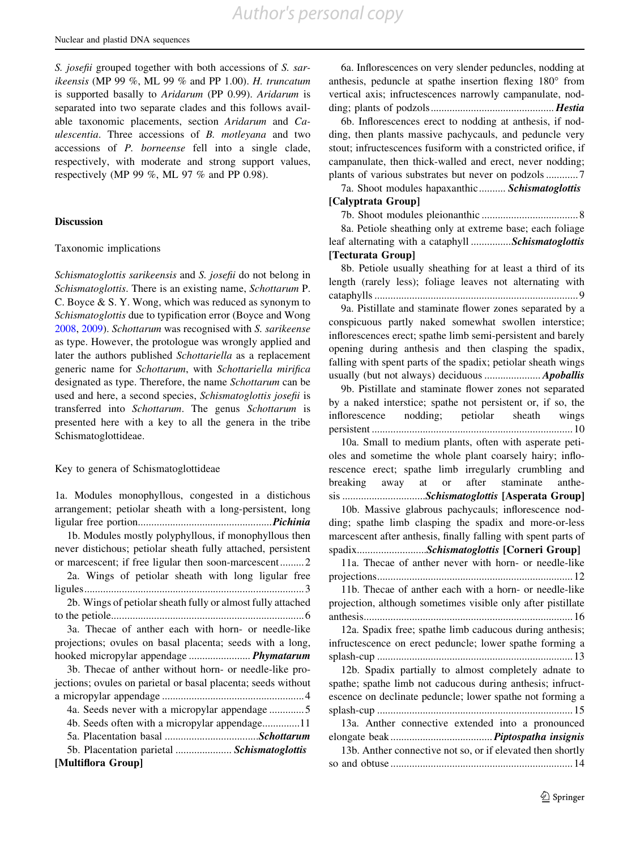<span id="page-4-0"></span>S. *josefii* grouped together with both accessions of S. sarikeensis (MP 99 %, ML 99 % and PP 1.00). H. truncatum is supported basally to Aridarum (PP 0.99). Aridarum is separated into two separate clades and this follows available taxonomic placements, section Aridarum and Caulescentia. Three accessions of B. motleyana and two accessions of P. borneense fell into a single clade, respectively, with moderate and strong support values, respectively (MP 99 %, ML 97 % and PP 0.98).

#### Discussion

# Taxonomic implications

Schismatoglottis sarikeensis and S. josefii do not belong in Schismatoglottis. There is an existing name, Schottarum P. C. Boyce & S. Y. Wong, which was reduced as synonym to Schismatoglottis due to typification error (Boyce and Wong [2008,](#page-10-0) [2009\)](#page-10-0). Schottarum was recognised with S. sarikeense as type. However, the protologue was wrongly applied and later the authors published Schottariella as a replacement generic name for Schottarum, with Schottariella mirifica designated as type. Therefore, the name Schottarum can be used and here, a second species, Schismatoglottis josefii is transferred into Schottarum. The genus Schottarum is presented here with a key to all the genera in the tribe Schismatoglottideae.

# Key to genera of Schismatoglottideae

| 1a. Modules monophyllous, congested in a distichous           |
|---------------------------------------------------------------|
| arrangement; petiolar sheath with a long-persistent, long     |
|                                                               |
| 1b. Modules mostly polyphyllous, if monophyllous then         |
|                                                               |
| never distichous; petiolar sheath fully attached, persistent  |
| or marcescent; if free ligular then soon-marcescent2          |
| 2a. Wings of petiolar sheath with long ligular free           |
|                                                               |
| 2b. Wings of petiolar sheath fully or almost fully attached   |
|                                                               |
| 3a. Thecae of anther each with horn- or needle-like           |
| projections; ovules on basal placenta; seeds with a long,     |
| hooked micropylar appendage <i>Phymatarum</i>                 |
| 3b. Thecae of anther without horn- or needle-like pro-        |
| jections; ovules on parietal or basal placenta; seeds without |
|                                                               |
| 4a. Seeds never with a micropylar appendage 5                 |
|                                                               |
|                                                               |
|                                                               |
| 5b. Placentation parietal  Schismatoglottis                   |
| [Multiflora Group]                                            |
|                                                               |

6a. Inflorescences on very slender peduncles, nodding at anthesis, peduncle at spathe insertion flexing  $180^\circ$  from vertical axis; infructescences narrowly campanulate, nodding; plants of podzols.............................................. Hestia

6b. Inflorescences erect to nodding at anthesis, if nodding, then plants massive pachycauls, and peduncle very stout; infructescences fusiform with a constricted orifice, if campanulate, then thick-walled and erect, never nodding; plants of various substrates but never on podzols ............7

7a. Shoot modules hapaxanthic.......... Schismatoglottis [Calyptrata Group]

7b. Shoot modules pleionanthic ....................................8

8a. Petiole sheathing only at extreme base; each foliage leaf alternating with a cataphyll ...............Schismatoglottis [Tecturata Group]

8b. Petiole usually sheathing for at least a third of its length (rarely less); foliage leaves not alternating with cataphylls ............................................................................9

9a. Pistillate and staminate flower zones separated by a conspicuous partly naked somewhat swollen interstice; inflorescences erect; spathe limb semi-persistent and barely opening during anthesis and then clasping the spadix, falling with spent parts of the spadix; petiolar sheath wings usually (but not always) deciduous ..................... Apoballis

9b. Pistillate and staminate flower zones not separated by a naked interstice; spathe not persistent or, if so, the inflorescence nodding; petiolar sheath wings persistent ...........................................................................10

10a. Small to medium plants, often with asperate petioles and sometime the whole plant coarsely hairy; inflorescence erect; spathe limb irregularly crumbling and breaking away at or after staminate anthesis ................................*Schismatoglottis* [Asperata Group]

10b. Massive glabrous pachycauls; inflorescence nodding; spathe limb clasping the spadix and more-or-less marcescent after anthesis, finally falling with spent parts of spadix............................*Schismatoglottis* [Corneri Group]

11a. Thecae of anther never with horn- or needle-like projections.........................................................................12

11b. Thecae of anther each with a horn- or needle-like projection, although sometimes visible only after pistillate anthesis..............................................................................16

12a. Spadix free; spathe limb caducous during anthesis; infructescence on erect peduncle; lower spathe forming a splash-cup .........................................................................13

12b. Spadix partially to almost completely adnate to spathe; spathe limb not caducous during anthesis; infructescence on declinate peduncle; lower spathe not forming a splash-cup .........................................................................15 13a. Anther connective extended into a pronounced elongate beak...................................... Piptospatha insignis 13b. Anther connective not so, or if elevated then shortly so and obtuse ....................................................................14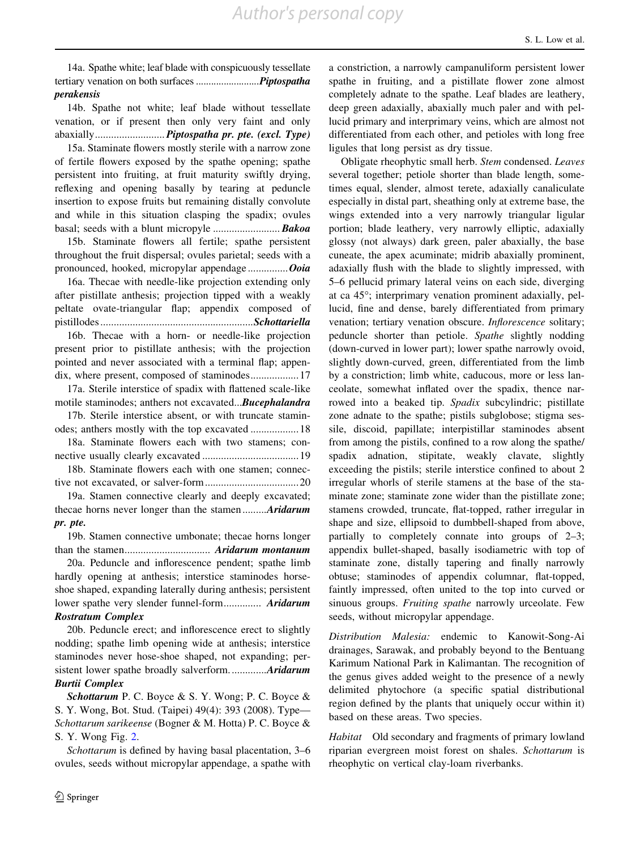14a. Spathe white; leaf blade with conspicuously tessellate tertiary venation on both surfaces ..............................Piptospatha perakensis

14b. Spathe not white; leaf blade without tessellate venation, or if present then only very faint and only abaxially.............................. Piptospatha pr. pte. (excl. Type)

15a. Staminate flowers mostly sterile with a narrow zone of fertile flowers exposed by the spathe opening; spathe persistent into fruiting, at fruit maturity swiftly drying, reflexing and opening basally by tearing at peduncle insertion to expose fruits but remaining distally convolute and while in this situation clasping the spadix; ovules basal; seeds with a blunt micropyle ......................... Bakoa

15b. Staminate flowers all fertile; spathe persistent throughout the fruit dispersal; ovules parietal; seeds with a pronounced, hooked, micropylar appendage ................ Ooia

16a. Thecae with needle-like projection extending only after pistillate anthesis; projection tipped with a weakly peltate ovate-triangular flap; appendix composed of pistillodes.........................................................Schottariella

16b. Thecae with a horn- or needle-like projection present prior to pistillate anthesis; with the projection pointed and never associated with a terminal flap; appendix, where present, composed of staminodes..................17

17a. Sterile interstice of spadix with flattened scale-like motile staminodes; anthers not excavated...Bucephalandra

17b. Sterile interstice absent, or with truncate staminodes; anthers mostly with the top excavated ..................18

18a. Staminate flowers each with two stamens; connective usually clearly excavated ....................................19

18b. Staminate flowers each with one stamen; connective not excavated, or salver-form...................................20

19a. Stamen connective clearly and deeply excavated; thecae horns never longer than the stamen.........Aridarum pr. pte.

19b. Stamen connective umbonate; thecae horns longer than the stamen................................ Aridarum montanum

20a. Peduncle and inflorescence pendent; spathe limb hardly opening at anthesis; interstice staminodes horseshoe shaped, expanding laterally during anthesis; persistent lower spathe very slender funnel-form.............. Aridarum Rostratum Complex

20b. Peduncle erect; and inflorescence erect to slightly nodding; spathe limb opening wide at anthesis; interstice staminodes never hose-shoe shaped, not expanding; persistent lower spathe broadly salverform..............Aridarum Burtii Complex

Schottarum P. C. Boyce & S. Y. Wong; P. C. Boyce & S. Y. Wong, Bot. Stud. (Taipei) 49(4): 393 (2008). Type— Schottarum sarikeense (Bogner & M. Hotta) P. C. Boyce & S. Y. Wong Fig. [2](#page--13-0).

Schottarum is defined by having basal placentation, 3–6 ovules, seeds without micropylar appendage, a spathe with a constriction, a narrowly campanuliform persistent lower spathe in fruiting, and a pistillate flower zone almost completely adnate to the spathe. Leaf blades are leathery, deep green adaxially, abaxially much paler and with pellucid primary and interprimary veins, which are almost not differentiated from each other, and petioles with long free ligules that long persist as dry tissue.

Obligate rheophytic small herb. Stem condensed. Leaves several together; petiole shorter than blade length, sometimes equal, slender, almost terete, adaxially canaliculate especially in distal part, sheathing only at extreme base, the wings extended into a very narrowly triangular ligular portion; blade leathery, very narrowly elliptic, adaxially glossy (not always) dark green, paler abaxially, the base cuneate, the apex acuminate; midrib abaxially prominent, adaxially flush with the blade to slightly impressed, with 5–6 pellucid primary lateral veins on each side, diverging at ca  $45^{\circ}$ ; interprimary venation prominent adaxially, pellucid, fine and dense, barely differentiated from primary venation; tertiary venation obscure. Inflorescence solitary; peduncle shorter than petiole. Spathe slightly nodding (down-curved in lower part); lower spathe narrowly ovoid, slightly down-curved, green, differentiated from the limb by a constriction; limb white, caducous, more or less lanceolate, somewhat inflated over the spadix, thence narrowed into a beaked tip. Spadix subcylindric; pistillate zone adnate to the spathe; pistils subglobose; stigma sessile, discoid, papillate; interpistillar staminodes absent from among the pistils, confined to a row along the spathe/ spadix adnation, stipitate, weakly clavate, slightly exceeding the pistils; sterile interstice confined to about 2 irregular whorls of sterile stamens at the base of the staminate zone; staminate zone wider than the pistillate zone; stamens crowded, truncate, flat-topped, rather irregular in shape and size, ellipsoid to dumbbell-shaped from above, partially to completely connate into groups of 2–3; appendix bullet-shaped, basally isodiametric with top of staminate zone, distally tapering and finally narrowly obtuse; staminodes of appendix columnar, flat-topped, faintly impressed, often united to the top into curved or sinuous groups. Fruiting spathe narrowly urceolate. Few seeds, without micropylar appendage.

Distribution Malesia: endemic to Kanowit-Song-Ai drainages, Sarawak, and probably beyond to the Bentuang Karimum National Park in Kalimantan. The recognition of the genus gives added weight to the presence of a newly delimited phytochore (a specific spatial distributional region defined by the plants that uniquely occur within it) based on these areas. Two species.

Habitat Old secondary and fragments of primary lowland riparian evergreen moist forest on shales. Schottarum is rheophytic on vertical clay-loam riverbanks.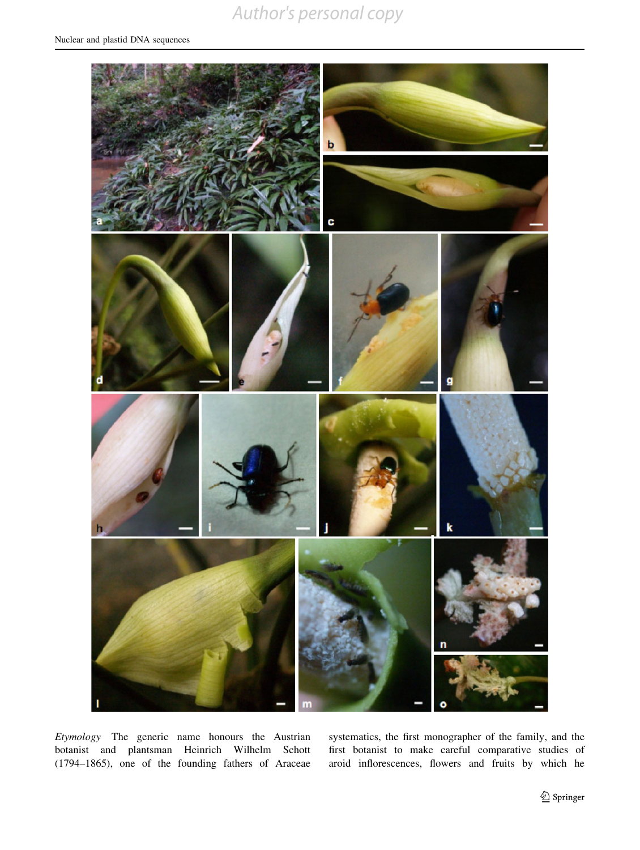<span id="page-6-0"></span>

Etymology The generic name honours the Austrian botanist and plantsman Heinrich Wilhelm Schott (1794–1865), one of the founding fathers of Araceae

systematics, the first monographer of the family, and the first botanist to make careful comparative studies of aroid inflorescences, flowers and fruits by which he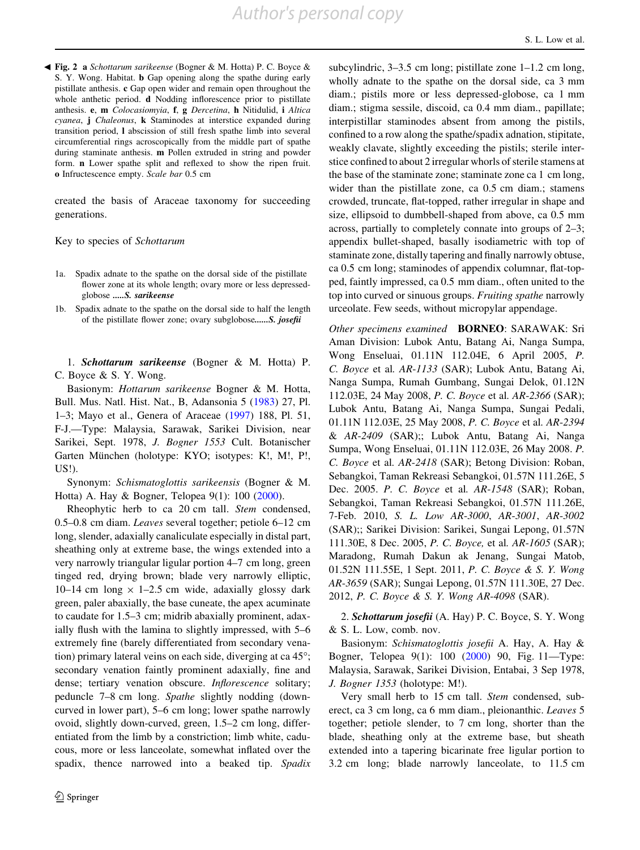**Eig. 2 a** Schottarum sarikeense (Bogner & M. Hotta) P. C. Boyce & S. Y. Wong. Habitat. b Gap opening along the spathe during early pistillate anthesis. c Gap open wider and remain open throughout the whole anthetic period. **d** Nodding inflorescence prior to pistillate anthesis. e, m Colocasiomyia, f, g Dercetina, h Nitidulid, i Altica cyanea, j Chaleonus, k Staminodes at interstice expanded during transition period, l abscission of still fresh spathe limb into several circumferential rings acroscopically from the middle part of spathe during staminate anthesis. m Pollen extruded in string and powder form. n Lower spathe split and reflexed to show the ripen fruit. o Infructescence empty. Scale bar 0.5 cm

created the basis of Araceae taxonomy for succeeding generations.

Key to species of Schottarum

- 1a. Spadix adnate to the spathe on the dorsal side of the pistillate flower zone at its whole length; ovary more or less depressedglobose .....S. sarikeense
- 1b. Spadix adnate to the spathe on the dorsal side to half the length of the pistillate flower zone; ovary subglobose......S. josefii

1. Schottarum sarikeense (Bogner & M. Hotta) P. C. Boyce & S. Y. Wong.

Basionym: Hottarum sarikeense Bogner & M. Hotta, Bull. Mus. Natl. Hist. Nat., B, Adansonia 5 ([1983\)](#page-8-0) 27, Pl. 1–3; Mayo et al., Genera of Araceae [\(1997](#page-6-0)) 188, Pl. 51, F-J.—Type: Malaysia, Sarawak, Sarikei Division, near Sarikei, Sept. 1978, J. Bogner 1553 Cult. Botanischer Garten München (holotype: KYO; isotypes: K!, M!, P!, US!).

Synonym: Schismatoglottis sarikeensis (Bogner & M. Hotta) A. Hay & Bogner, Telopea 9(1): 100 [\(2000](#page-6-0)).

Rheophytic herb to ca 20 cm tall. Stem condensed, 0.5–0.8 cm diam. Leaves several together; petiole 6–12 cm long, slender, adaxially canaliculate especially in distal part, sheathing only at extreme base, the wings extended into a very narrowly triangular ligular portion 4–7 cm long, green tinged red, drying brown; blade very narrowly elliptic, 10–14 cm long  $\times$  1–2.5 cm wide, adaxially glossy dark green, paler abaxially, the base cuneate, the apex acuminate to caudate for 1.5–3 cm; midrib abaxially prominent, adaxially flush with the lamina to slightly impressed, with 5–6 extremely fine (barely differentiated from secondary venation) primary lateral veins on each side, diverging at ca  $45^{\circ}$ ; secondary venation faintly prominent adaxially, fine and dense; tertiary venation obscure. Inflorescence solitary; peduncle 7–8 cm long. Spathe slightly nodding (downcurved in lower part), 5–6 cm long; lower spathe narrowly ovoid, slightly down-curved, green, 1.5–2 cm long, differentiated from the limb by a constriction; limb white, caducous, more or less lanceolate, somewhat inflated over the spadix, thence narrowed into a beaked tip. Spadix subcylindric, 3–3.5 cm long; pistillate zone 1–1.2 cm long, wholly adnate to the spathe on the dorsal side, ca 3 mm diam.; pistils more or less depressed-globose, ca 1 mm diam.; stigma sessile, discoid, ca 0.4 mm diam., papillate; interpistillar staminodes absent from among the pistils, confined to a row along the spathe/spadix adnation, stipitate, weakly clavate, slightly exceeding the pistils; sterile interstice confined to about 2 irregular whorls of sterile stamens at the base of the staminate zone; staminate zone ca 1 cm long, wider than the pistillate zone, ca 0.5 cm diam.; stamens crowded, truncate, flat-topped, rather irregular in shape and size, ellipsoid to dumbbell-shaped from above, ca 0.5 mm across, partially to completely connate into groups of 2–3; appendix bullet-shaped, basally isodiametric with top of staminate zone, distally tapering and finally narrowly obtuse, ca 0.5 cm long; staminodes of appendix columnar, flat-topped, faintly impressed, ca 0.5 mm diam., often united to the top into curved or sinuous groups. Fruiting spathe narrowly urceolate. Few seeds, without micropylar appendage.

Other specimens examined BORNEO: SARAWAK: Sri Aman Division: Lubok Antu, Batang Ai, Nanga Sumpa, Wong Enseluai, 01.11N 112.04E, 6 April 2005, P. C. Boyce et al. AR-1133 (SAR); Lubok Antu, Batang Ai, Nanga Sumpa, Rumah Gumbang, Sungai Delok, 01.12N 112.03E, 24 May 2008, P. C. Boyce et al. AR-2366 (SAR); Lubok Antu, Batang Ai, Nanga Sumpa, Sungai Pedali, 01.11N 112.03E, 25 May 2008, P. C. Boyce et al. AR-2394 & AR-2409 (SAR);; Lubok Antu, Batang Ai, Nanga Sumpa, Wong Enseluai, 01.11N 112.03E, 26 May 2008. P. C. Boyce et al. AR-2418 (SAR); Betong Division: Roban, Sebangkoi, Taman Rekreasi Sebangkoi, 01.57N 111.26E, 5 Dec. 2005. P. C. Boyce et al. AR-1548 (SAR); Roban, Sebangkoi, Taman Rekreasi Sebangkoi, 01.57N 111.26E, 7-Feb. 2010, S. L. Low AR-3000, AR-3001, AR-3002 (SAR);; Sarikei Division: Sarikei, Sungai Lepong, 01.57N 111.30E, 8 Dec. 2005, P. C. Boyce, et al. AR-1605 (SAR); Maradong, Rumah Dakun ak Jenang, Sungai Matob, 01.52N 111.55E, 1 Sept. 2011, P. C. Boyce & S. Y. Wong AR-3659 (SAR); Sungai Lepong, 01.57N 111.30E, 27 Dec. 2012, P. C. Boyce & S. Y. Wong AR-4098 (SAR).

2. Schottarum josefii (A. Hay) P. C. Boyce, S. Y. Wong & S. L. Low, comb. nov.

Basionym: Schismatoglottis josefii A. Hay, A. Hay & Bogner, Telopea 9(1): 100 [\(2000](#page-6-0)) 90, Fig. 11—Type: Malaysia, Sarawak, Sarikei Division, Entabai, 3 Sep 1978, J. Bogner 1353 (holotype: M!).

Very small herb to 15 cm tall. Stem condensed, suberect, ca 3 cm long, ca 6 mm diam., pleionanthic. Leaves 5 together; petiole slender, to 7 cm long, shorter than the blade, sheathing only at the extreme base, but sheath extended into a tapering bicarinate free ligular portion to 3.2 cm long; blade narrowly lanceolate, to 11.5 cm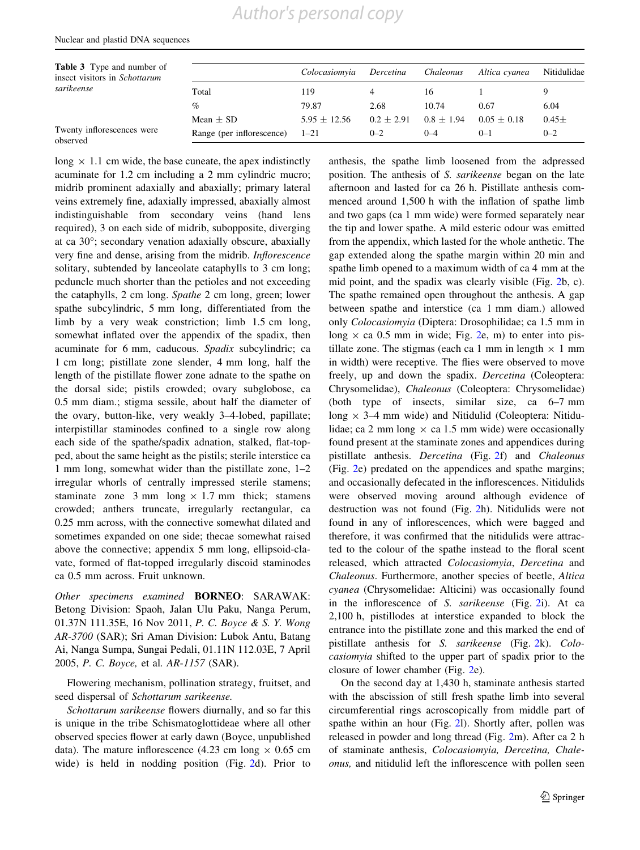Total 119 4 16 1 9 % 79.87 2.68 10.74 0.67 6.04

<span id="page-8-0"></span>Table 3 Type and number of insect visitors in Schottarum

sarikeense

long  $\times$  1.1 cm wide, the base cuneate, the apex indistinctly acuminate for 1.2 cm including a 2 mm cylindric mucro; midrib prominent adaxially and abaxially; primary lateral veins extremely fine, adaxially impressed, abaxially almost indistinguishable from secondary veins (hand lens required), 3 on each side of midrib, subopposite, diverging at ca 30°; secondary venation adaxially obscure, abaxially very fine and dense, arising from the midrib. Inflorescence solitary, subtended by lanceolate cataphylls to 3 cm long; peduncle much shorter than the petioles and not exceeding the cataphylls, 2 cm long. Spathe 2 cm long, green; lower spathe subcylindric, 5 mm long, differentiated from the limb by a very weak constriction; limb 1.5 cm long, somewhat inflated over the appendix of the spadix, then acuminate for 6 mm, caducous. Spadix subcylindric; ca 1 cm long; pistillate zone slender, 4 mm long, half the length of the pistillate flower zone adnate to the spathe on the dorsal side; pistils crowded; ovary subglobose, ca 0.5 mm diam.; stigma sessile, about half the diameter of the ovary, button-like, very weakly 3–4-lobed, papillate; interpistillar staminodes confined to a single row along each side of the spathe/spadix adnation, stalked, flat-topped, about the same height as the pistils; sterile interstice ca 1 mm long, somewhat wider than the pistillate zone, 1–2 irregular whorls of centrally impressed sterile stamens; staminate zone 3 mm long  $\times$  1.7 mm thick; stamens crowded; anthers truncate, irregularly rectangular, ca 0.25 mm across, with the connective somewhat dilated and sometimes expanded on one side; thecae somewhat raised above the connective; appendix 5 mm long, ellipsoid-clavate, formed of flat-topped irregularly discoid staminodes ca 0.5 mm across. Fruit unknown. Twenty inflorescences were observed Mean  $\pm$  SD 5.95  $\pm$  12.56 0.2  $\pm$  2.91 0.8  $\pm$  1.94 0.05  $\pm$  0.18 0.45  $\pm$ Range (per inflorescence)  $1-21$  0-2 0-4 0-1 0-2

Other specimens examined BORNEO: SARAWAK: Betong Division: Spaoh, Jalan Ulu Paku, Nanga Perum, 01.37N 111.35E, 16 Nov 2011, P. C. Boyce & S. Y. Wong AR-3700 (SAR); Sri Aman Division: Lubok Antu, Batang Ai, Nanga Sumpa, Sungai Pedali, 01.11N 112.03E, 7 April 2005, P. C. Boyce, et al. AR-1157 (SAR).

Flowering mechanism, pollination strategy, fruitset, and seed dispersal of Schottarum sarikeense.

Schottarum sarikeense flowers diurnally, and so far this is unique in the tribe Schismatoglottideae where all other observed species flower at early dawn (Boyce, unpublished data). The mature inflorescence (4.23 cm long  $\times$  0.65 cm wide) is held in nodding position (Fig. [2](#page--13-0)d). Prior to anthesis, the spathe limb loosened from the adpressed position. The anthesis of S. sarikeense began on the late afternoon and lasted for ca 26 h. Pistillate anthesis commenced around 1,500 h with the inflation of spathe limb and two gaps (ca 1 mm wide) were formed separately near the tip and lower spathe. A mild esteric odour was emitted from the appendix, which lasted for the whole anthetic. The gap extended along the spathe margin within 20 min and spathe limb opened to a maximum width of ca 4 mm at the mid point, and the spadix was clearly visible (Fig. [2b](#page--13-0), c). The spathe remained open throughout the anthesis. A gap between spathe and interstice (ca 1 mm diam.) allowed only Colocasiomyia (Diptera: Drosophilidae; ca 1.5 mm in long  $\times$  ca 0.5 mm in wide; Fig. [2](#page--13-0)e, m) to enter into pistillate zone. The stigmas (each ca 1 mm in length  $\times$  1 mm in width) were receptive. The flies were observed to move freely, up and down the spadix. Dercetina (Coleoptera: Chrysomelidae), Chaleonus (Coleoptera: Chrysomelidae) (both type of insects, similar size, ca 6–7 mm long  $\times$  3–4 mm wide) and Nitidulid (Coleoptera: Nitidulidae; ca 2 mm long  $\times$  ca 1.5 mm wide) were occasionally found present at the staminate zones and appendices during pistillate anthesis. Dercetina (Fig. [2](#page--13-0)f) and Chaleonus (Fig. [2e](#page--13-0)) predated on the appendices and spathe margins; and occasionally defecated in the inflorescences. Nitidulids were observed moving around although evidence of destruction was not found (Fig. [2h](#page--13-0)). Nitidulids were not found in any of inflorescences, which were bagged and therefore, it was confirmed that the nitidulids were attracted to the colour of the spathe instead to the floral scent released, which attracted Colocasiomyia, Dercetina and Chaleonus. Furthermore, another species of beetle, Altica cyanea (Chrysomelidae: Alticini) was occasionally found in the inflorescence of S. sarikeense (Fig. [2i](#page--13-0)). At ca 2,100 h, pistillodes at interstice expanded to block the entrance into the pistillate zone and this marked the end of pistillate anthesis for S. sarikeense (Fig. [2k](#page--13-0)). Colocasiomyia shifted to the upper part of spadix prior to the closure of lower chamber (Fig. [2](#page--13-0)e).

Colocasiomyia Dercetina Chaleonus Altica cyanea Nitidulidae

On the second day at 1,430 h, staminate anthesis started with the abscission of still fresh spathe limb into several circumferential rings acroscopically from middle part of spathe within an hour (Fig. [2l](#page--13-0)). Shortly after, pollen was released in powder and long thread (Fig. [2m](#page--13-0)). After ca 2 h of staminate anthesis, Colocasiomyia, Dercetina, Chaleonus, and nitidulid left the inflorescence with pollen seen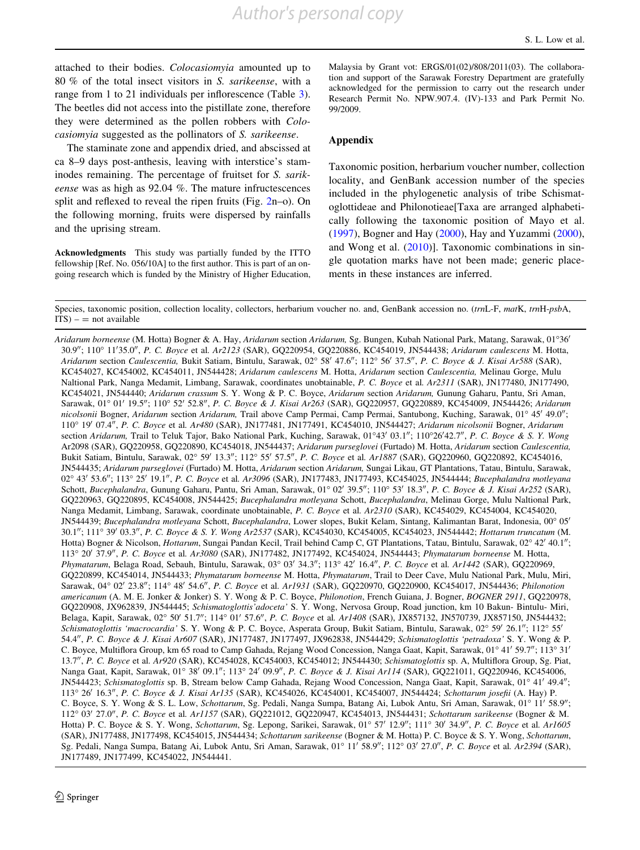<span id="page-9-0"></span>attached to their bodies. Colocasiomyia amounted up to 80 % of the total insect visitors in S. sarikeense, with a range from 1 to 21 individuals per inflorescence (Table [3](#page-8-0)). The beetles did not access into the pistillate zone, therefore they were determined as the pollen robbers with Colocasiomyia suggested as the pollinators of S. sarikeense.

The staminate zone and appendix dried, and abscissed at ca 8–9 days post-anthesis, leaving with interstice's staminodes remaining. The percentage of fruitset for S. sarikeense was as high as 92.04 %. The mature infructescences split and reflexed to reveal the ripen fruits (Fig. [2](#page--13-0)n–o). On the following morning, fruits were dispersed by rainfalls and the uprising stream.

Acknowledgments This study was partially funded by the ITTO fellowship [Ref. No. 056/10A] to the first author. This is part of an ongoing research which is funded by the Ministry of Higher Education, Malaysia by Grant vot: ERGS/01(02)/808/2011(03). The collaboration and support of the Sarawak Forestry Department are gratefully acknowledged for the permission to carry out the research under Research Permit No. NPW.907.4. (IV)-133 and Park Permit No. 99/2009.

#### Appendix

Taxonomic position, herbarium voucher number, collection locality, and GenBank accession number of the species included in the phylogenetic analysis of tribe Schismatoglottideae and Philonotieae[Taxa are arranged alphabetically following the taxonomic position of Mayo et al. [\(1997](#page-6-0)), Bogner and Hay ([2000\)](#page-6-0), Hay and Yuzammi [\(2000](#page-4-0)), and Wong et al. [\(2010](#page-0-0))]. Taxonomic combinations in single quotation marks have not been made; generic placements in these instances are inferred.

Species, taxonomic position, collection locality, collectors, herbarium voucher no. and, GenBank accession no. (trnL-F, matK, trnH-psbA,  $ITS$ ) –  $=$  not available

Aridarum borneense (M. Hotta) Bogner & A. Hay, Aridarum section Aridarum, Sg. Bungen, Kubah National Park, Matang, Sarawak, 01°36' 30.9"; 110° 11'35.0", P. C. Boyce et al. Ar2123 (SAR), GQ220954, GQ220886, KC454019, JN544438; Aridarum caulescens M. Hotta, Aridarum section Caulescentia, Bukit Satiam, Bintulu, Sarawak, 02° 58' 47.6"; 112° 56' 37.5", P. C. Boyce & J. Kisai Ar588 (SAR), KC454027, KC454002, KC454011, JN544428; Aridarum caulescens M. Hotta, Aridarum section Caulescentia, Melinau Gorge, Mulu Naltional Park, Nanga Medamit, Limbang, Sarawak, coordinates unobtainable, P. C. Boyce et al. Ar2311 (SAR), JN177480, JN177490, KC454021, JN544440; Aridarum crassum S. Y. Wong & P. C. Boyce, Aridarum section Aridarum, Gunung Gaharu, Pantu, Sri Aman, Sarawak, 01° 01' 19.5"; 110° 52' 52.8", P. C. Boyce & J. Kisai Ar263 (SAR), GQ220957, GQ220889, KC454009, JN544426; Aridarum nicolsonii Bogner, Aridarum section Aridarum, Trail above Camp Permai, Camp Permai, Santubong, Kuching, Sarawak, 01° 45' 49.0"; 110° 19' 07.4", P. C. Boyce et al. Ar480 (SAR), JN177481, JN177491, KC454010, JN544427; Aridarum nicolsonii Bogner, Aridarum section Aridarum, Trail to Teluk Tajor, Bako National Park, Kuching, Sarawak, 01°43' 03.1"; 110°26'42.7", P. C. Boyce & S. Y. Wong Ar2098 (SAR), GQ220958, GQ220890, KC454018, JN544437; Aridarum purseglovei (Furtado) M. Hotta, Aridarum section Caulescentia, Bukit Satiam, Bintulu, Sarawak, 02° 59' 13.3"; 112° 55' 57.5", P. C. Boyce et al. Ar1887 (SAR), GQ220960, GQ220892, KC454016, JN544435; Aridarum purseglovei (Furtado) M. Hotta, Aridarum section Aridarum, Sungai Likau, GT Plantations, Tatau, Bintulu, Sarawak, 02° 43' 53.6"; 113° 25' 19.1", P. C. Boyce et al. Ar3096 (SAR), JN177483, JN177493, KC454025, JN544444; Bucephalandra motleyana Schott, Bucephalandra, Gunung Gaharu, Pantu, Sri Aman, Sarawak, 01° 02' 39.5"; 110° 53' 18.3", P. C. Boyce & J. Kisai Ar252 (SAR), GQ220963, GQ220895, KC454008, JN544425; Bucephalandra motleyana Schott, Bucephalandra, Melinau Gorge, Mulu Naltional Park, Nanga Medamit, Limbang, Sarawak, coordinate unobtainable, P. C. Boyce et al. Ar2310 (SAR), KC454029, KC454004, KC454020, JN544439; Bucephalandra motleyana Schott, Bucephalandra, Lower slopes, Bukit Kelam, Sintang, Kalimantan Barat, Indonesia, 00° 05' 30.1"; 111° 39' 03.3", P. C. Boyce & S. Y. Wong Ar2537 (SAR), KC454030, KC454005, KC454023, JN544442; Hottarum truncatum (M. Hotta) Bogner & Nicolson, Hottarum, Sungai Pandan Kecil, Trail behind Camp C, GT Plantations, Tatau, Bintulu, Sarawak, 02° 42′ 40.1″; 113° 20' 37.9", P. C. Boyce et al. Ar3080 (SAR), JN177482, JN177492, KC454024, JN544443; Phymatarum borneense M. Hotta, Phymatarum, Belaga Road, Sebauh, Bintulu, Sarawak, 03° 03′ 34.3″; 113° 42′ 16.4″, P. C. Boyce et al. Ar1442 (SAR), GO220969, GQ220899, KC454014, JN544433; Phymatarum borneense M. Hotta, Phymatarum, Trail to Deer Cave, Mulu National Park, Mulu, Miri, Sarawak, 04° 02' 23.8"; 114° 48' 54.6", P. C. Boyce et al. Ar1931 (SAR), GQ220970, GQ220900, KC454017, JN544436; Philonotion americanum (A. M. E. Jonker & Jonker) S. Y. Wong & P. C. Boyce, Philonotion, French Guiana, J. Bogner, BOGNER 2911, GQ220978, GQ220908, JX962839, JN544445; Schismatoglottis'adoceta' S. Y. Wong, Nervosa Group, Road junction, km 10 Bakun- Bintulu- Miri, Belaga, Kapit, Sarawak, 02° 50' 51.7"; 114° 01' 57.6", P. C. Boyce et al. Ar1408 (SAR), JX857132, JN570739, JX857150, JN544432; Schismatoglottis 'macrocardia' S. Y. Wong & P. C. Boyce, Asperata Group, Bukit Satiam, Bintulu, Sarawak, 02° 59' 26.1"; 112° 55' 54.4", P. C. Boyce & J. Kisai Ar607 (SAR), JN177487, JN177497, JX962838, JN544429; Schismatoglottis 'petradoxa' S. Y. Wong & P. C. Boyce, Multiflora Group, km 65 road to Camp Gahada, Rejang Wood Concession, Nanga Gaat, Kapit, Sarawak, 01° 41' 59.7"; 113° 31' 13.7", P. C. Boyce et al. Ar920 (SAR), KC454028, KC454003, KC454012; JN544430; Schismatoglottis sp. A, Multiflora Group, Sg. Piat, Nanga Gaat, Kapit, Sarawak, 01° 38' 09.1"; 113° 24' 09.9", P. C. Boyce & J. Kisai Ar114 (SAR), GQ221011, GQ220946, KC454006, JN544423; Schismatoglottis sp. B, Stream below Camp Gahada, Rejang Wood Concession, Nanga Gaat, Kapit, Sarawak, 01° 41′ 49.4″; 113° 26' 16.3", P. C. Boyce & J. Kisai Ar135 (SAR), KC454026, KC454001, KC454007, JN544424; Schottarum josefii (A. Hay) P. C. Boyce, S. Y. Wong & S. L. Low, Schottarum, Sg. Pedali, Nanga Sumpa, Batang Ai, Lubok Antu, Sri Aman, Sarawak, 01° 11′ 58.9"; 112° 03' 27.0", P. C. Boyce et al. Ar1157 (SAR), GQ221012, GQ220947, KC454013, JN544431; Schottarum sarikeense (Bogner & M. Hotta) P. C. Boyce & S. Y. Wong, Schottarum, Sg. Lepong, Sarikei, Sarawak, 01° 57' 12.9"; 111° 30' 34.9", P. C. Boyce et al. Ar1605 (SAR), JN177488, JN177498, KC454015, JN544434; Schottarum sarikeense (Bogner & M. Hotta) P. C. Boyce & S. Y. Wong, Schottarum, Sg. Pedali, Nanga Sumpa, Batang Ai, Lubok Antu, Sri Aman, Sarawak, 01° 11′ 58.9"; 112° 03′ 27.0", P. C. Boyce et al. Ar2394 (SAR), JN177489, JN177499, KC454022, JN544441.